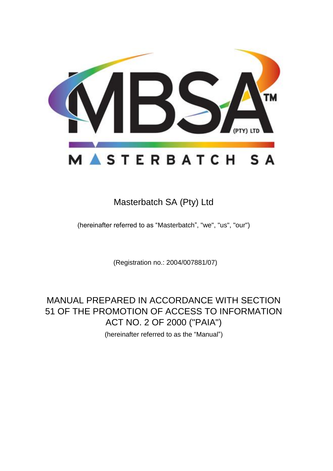

# Masterbatch SA (Pty) Ltd

(hereinafter referred to as "Masterbatch", "we", "us", "our")

(Registration no.: 2004/007881/07)

MANUAL PREPARED IN ACCORDANCE WITH SECTION 51 OF THE PROMOTION OF ACCESS TO INFORMATION ACT NO. 2 OF 2000 ("PAIA") (hereinafter referred to as the "Manual")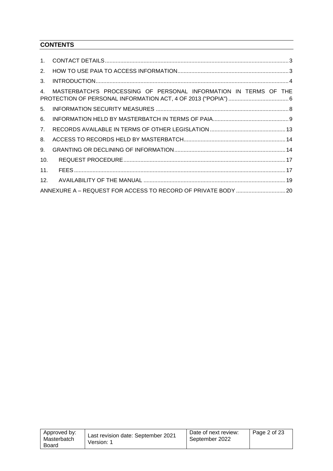# **CONTENTS**

| $1_{-}$         |                                                                  |  |
|-----------------|------------------------------------------------------------------|--|
| 2.              |                                                                  |  |
| 3.              |                                                                  |  |
| 4 <sub>1</sub>  | MASTERBATCH'S PROCESSING OF PERSONAL INFORMATION IN TERMS OF THE |  |
| 5 <sub>1</sub>  |                                                                  |  |
| 6.              |                                                                  |  |
| 7 <sub>1</sub>  |                                                                  |  |
| 8.              |                                                                  |  |
| 9.              |                                                                  |  |
| 10.             |                                                                  |  |
| 11.             |                                                                  |  |
| 12 <sub>1</sub> |                                                                  |  |
|                 |                                                                  |  |

| Approved by:<br>Masterbatch<br>Board | Last revision date: September 2021<br>Version: 1 | Date of next review:<br>September 2022 | Page 2 of 23 |
|--------------------------------------|--------------------------------------------------|----------------------------------------|--------------|
|                                      |                                                  |                                        |              |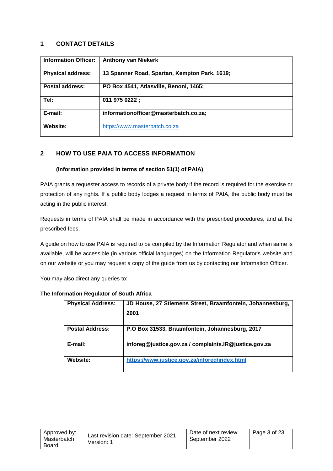# <span id="page-2-0"></span>**1 CONTACT DETAILS**

| <b>Information Officer:</b> | <b>Anthony van Niekerk</b>                    |  |
|-----------------------------|-----------------------------------------------|--|
| <b>Physical address:</b>    | 13 Spanner Road, Spartan, Kempton Park, 1619; |  |
| Postal address:             | PO Box 4541, Atlasville, Benoni, 1465;        |  |
| Tel:                        | 011 975 0222;                                 |  |
| E-mail:                     | informationofficer@masterbatch.co.za;         |  |
| Website:                    | https://www.masterbatch.co.za                 |  |

# <span id="page-2-1"></span>**2 HOW TO USE PAIA TO ACCESS INFORMATION**

#### **(Information provided in terms of section 51(1) of PAIA)**

PAIA grants a requester access to records of a private body if the record is required for the exercise or protection of any rights. If a public body lodges a request in terms of PAIA, the public body must be acting in the public interest.

Requests in terms of PAIA shall be made in accordance with the prescribed procedures, and at the prescribed fees.

A guide on how to use PAIA is required to be compiled by the Information Regulator and when same is available, will be accessible (in various official languages) on the Information Regulator's website and on our website or you may request a copy of the guide from us by contacting our Information Officer.

You may also direct any queries to:

| The Information Regulator of South Africa |  |  |
|-------------------------------------------|--|--|
|                                           |  |  |

| <b>Physical Address:</b> | JD House, 27 Stiemens Street, Braamfontein, Johannesburg, |
|--------------------------|-----------------------------------------------------------|
|                          | 2001                                                      |
| <b>Postal Address:</b>   | P.O Box 31533, Braamfontein, Johannesburg, 2017           |
| E-mail:                  | inforeg@justice.gov.za / complaints.IR@justice.gov.za     |
| Website:                 | https://www.justice.gov.za/inforeg/index.html             |

<span id="page-2-2"></span>

| Approved by:<br>Masterbatch<br>Board | Last revision date: September 2021<br>Version: 1 | Date of next review:<br>September 2022 | Page 3 of 23 |
|--------------------------------------|--------------------------------------------------|----------------------------------------|--------------|
|--------------------------------------|--------------------------------------------------|----------------------------------------|--------------|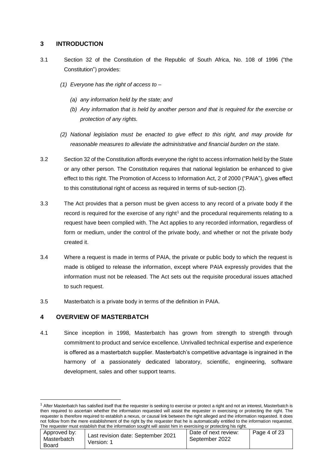# **3 INTRODUCTION**

- 3.1 Section 32 of the Constitution of the Republic of South Africa, No. 108 of 1996 ("the Constitution") provides:
	- *(1) Everyone has the right of access to –*
		- *(a) any information held by the state; and*
		- *(b) Any information that is held by another person and that is required for the exercise or protection of any rights.*
	- *(2) National legislation must be enacted to give effect to this right, and may provide for reasonable measures to alleviate the administrative and financial burden on the state.*
- 3.2 Section 32 of the Constitution affords everyone the right to access information held by the State or any other person. The Constitution requires that national legislation be enhanced to give effect to this right. The Promotion of Access to Information Act, 2 of 2000 ("PAIA"), gives effect to this constitutional right of access as required in terms of sub-section (2).
- 3.3 The Act provides that a person must be given access to any record of a private body if the record is required for the exercise of any right<sup>1</sup> and the procedural requirements relating to a request have been complied with. The Act applies to any recorded information, regardless of form or medium, under the control of the private body, and whether or not the private body created it.
- 3.4 Where a request is made in terms of PAIA, the private or public body to which the request is made is obliged to release the information, except where PAIA expressly provides that the information must not be released. The Act sets out the requisite procedural issues attached to such request.
- 3.5 Masterbatch is a private body in terms of the definition in PAIA.

# **4 OVERVIEW OF MASTERBATCH**

1

4.1 Since inception in 1998, Masterbatch has grown from strength to strength through commitment to product and service excellence. Unrivalled technical expertise and experience is offered as a masterbatch supplier. Masterbatch's competitive advantage is ingrained in the harmony of a passionately dedicated laboratory, scientific, engineering, software development, sales and other support teams.

 $1$  After Masterbatch has satisfied itself that the requester is seeking to exercise or protect a right and not an interest, Masterbatch is then required to ascertain whether the information requested will assist the requester in exercising or protecting the right. The requester is therefore required to establish a nexus, or causal link between the right alleged and the information requested. It does not follow from the mere establishment of the right by the requester that he is automatically entitled to the information requested. The requester must establish that the information sought will assist him in exercising or protecting his right.

| Approved by:<br>Last revision date: September 2021<br>Masterbatch<br>Version: 1<br>Board | Date of next review:<br>September 2022 | Page 4 of 23 |  |  |  |
|------------------------------------------------------------------------------------------|----------------------------------------|--------------|--|--|--|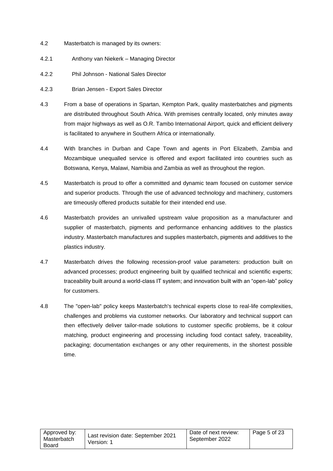- 4.2 Masterbatch is managed by its owners:
- 4.2.1 Anthony van Niekerk Managing Director
- 4.2.2 Phil Johnson National Sales Director
- 4.2.3 Brian Jensen Export Sales Director
- 4.3 From a base of operations in Spartan, Kempton Park, quality masterbatches and pigments are distributed throughout South Africa. With premises centrally located, only minutes away from major highways as well as O.R. Tambo International Airport, quick and efficient delivery is facilitated to anywhere in Southern Africa or internationally.
- 4.4 With branches in Durban and Cape Town and agents in Port Elizabeth, Zambia and Mozambique unequalled service is offered and export facilitated into countries such as Botswana, Kenya, Malawi, Namibia and Zambia as well as throughout the region.
- 4.5 Masterbatch is proud to offer a committed and dynamic team focused on customer service and superior products. Through the use of advanced technology and machinery, customers are timeously offered products suitable for their intended end use.
- 4.6 Masterbatch provides an unrivalled upstream value proposition as a manufacturer and supplier of masterbatch, pigments and performance enhancing additives to the plastics industry. Masterbatch manufactures and supplies masterbatch, pigments and additives to the plastics industry.
- 4.7 Masterbatch drives the following recession-proof value parameters: production built on advanced processes; product engineering built by qualified technical and scientific experts; traceability built around a world-class IT system; and innovation built with an "open-lab" policy for customers.
- 4.8 The "open-lab" policy keeps Masterbatch's technical experts close to real-life complexities, challenges and problems via customer networks. Our laboratory and technical support can then effectively deliver tailor-made solutions to customer specific problems, be it colour matching, product engineering and processing including food contact safety, traceability, packaging; documentation exchanges or any other requirements, in the shortest possible time.

| Approved by:<br>Masterbatch<br>Board | Last revision date: September 2021<br>Version: 1 | Date of next review:<br>September 2022 | Page 5 of 23 |
|--------------------------------------|--------------------------------------------------|----------------------------------------|--------------|
|--------------------------------------|--------------------------------------------------|----------------------------------------|--------------|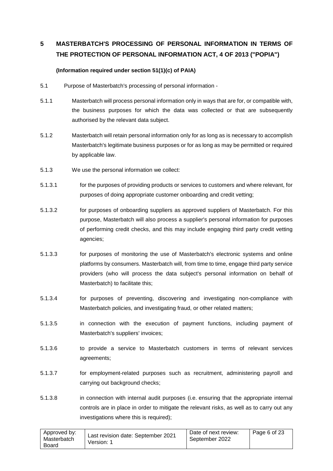# <span id="page-5-0"></span>**5 MASTERBATCH'S PROCESSING OF PERSONAL INFORMATION IN TERMS OF THE PROTECTION OF PERSONAL INFORMATION ACT, 4 OF 2013 ("POPIA")**

# **(Information required under section 51(1)(c) of PAIA)**

- 5.1 Purpose of Masterbatch's processing of personal information -
- 5.1.1 Masterbatch will process personal information only in ways that are for, or compatible with, the business purposes for which the data was collected or that are subsequently authorised by the relevant data subject.
- 5.1.2 Masterbatch will retain personal information only for as long as is necessary to accomplish Masterbatch's legitimate business purposes or for as long as may be permitted or required by applicable law.
- <span id="page-5-1"></span>5.1.3 We use the personal information we collect:
- 5.1.3.1 for the purposes of providing products or services to customers and where relevant, for purposes of doing appropriate customer onboarding and credit vetting;
- 5.1.3.2 for purposes of onboarding suppliers as approved suppliers of Masterbatch. For this purpose, Masterbatch will also process a supplier's personal information for purposes of performing credit checks, and this may include engaging third party credit vetting agencies;
- 5.1.3.3 for purposes of monitoring the use of Masterbatch's electronic systems and online platforms by consumers. Masterbatch will, from time to time, engage third party service providers (who will process the data subject's personal information on behalf of Masterbatch) to facilitate this;
- 5.1.3.4 for purposes of preventing, discovering and investigating non-compliance with Masterbatch policies, and investigating fraud, or other related matters;
- 5.1.3.5 in connection with the execution of payment functions, including payment of Masterbatch's suppliers' invoices;
- 5.1.3.6 to provide a service to Masterbatch customers in terms of relevant services agreements;
- 5.1.3.7 for employment-related purposes such as recruitment, administering payroll and carrying out background checks:
- 5.1.3.8 in connection with internal audit purposes (i.e. ensuring that the appropriate internal controls are in place in order to mitigate the relevant risks, as well as to carry out any investigations where this is required);

| Approved by:<br>Masterbatch<br>Board | Last revision date: September 2021<br>Version: 1 | Date of next review:<br>September 2022 | Page 6 of 23 |
|--------------------------------------|--------------------------------------------------|----------------------------------------|--------------|
|--------------------------------------|--------------------------------------------------|----------------------------------------|--------------|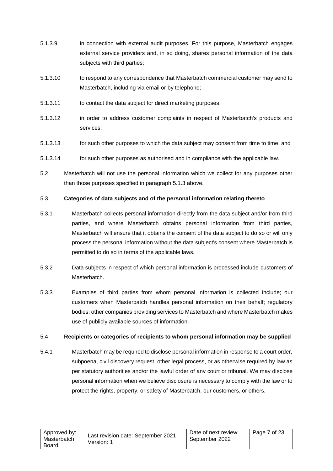- 5.1.3.9 in connection with external audit purposes. For this purpose, Masterbatch engages external service providers and, in so doing, shares personal information of the data subjects with third parties;
- 5.1.3.10 to respond to any correspondence that Masterbatch commercial customer may send to Masterbatch, including via email or by telephone;
- 5.1.3.11 to contact the data subject for direct marketing purposes;
- 5.1.3.12 in order to address customer complaints in respect of Masterbatch's products and services;
- 5.1.3.13 for such other purposes to which the data subject may consent from time to time; and
- 5.1.3.14 for such other purposes as authorised and in compliance with the applicable law.
- 5.2 Masterbatch will not use the personal information which we collect for any purposes other than those purposes specified in paragraph [5.1.3](#page-5-1) above.

#### 5.3 **Categories of data subjects and of the personal information relating thereto**

- 5.3.1 Masterbatch collects personal information directly from the data subject and/or from third parties, and where Masterbatch obtains personal information from third parties, Masterbatch will ensure that it obtains the consent of the data subject to do so or will only process the personal information without the data subject's consent where Masterbatch is permitted to do so in terms of the applicable laws.
- 5.3.2 Data subjects in respect of which personal information is processed include customers of Masterbatch.
- 5.3.3 Examples of third parties from whom personal information is collected include; our customers when Masterbatch handles personal information on their behalf; regulatory bodies; other companies providing services to Masterbatch and where Masterbatch makes use of publicly available sources of information.

#### 5.4 **Recipients or categories of recipients to whom personal information may be supplied**

5.4.1 Masterbatch may be required to disclose personal information in response to a court order, subpoena, civil discovery request, other legal process, or as otherwise required by law as per statutory authorities and/or the lawful order of any court or tribunal. We may disclose personal information when we believe disclosure is necessary to comply with the law or to protect the rights, property, or safety of Masterbatch, our customers, or others.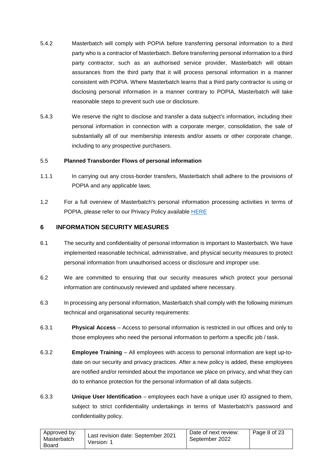- 5.4.2 Masterbatch will comply with POPIA before transferring personal information to a third party who is a contractor of Masterbatch. Before transferring personal information to a third party contractor, such as an authorised service provider, Masterbatch will obtain assurances from the third party that it will process personal information in a manner consistent with POPIA. Where Masterbatch learns that a third party contractor is using or disclosing personal information in a manner contrary to POPIA, Masterbatch will take reasonable steps to prevent such use or disclosure.
- 5.4.3 We reserve the right to disclose and transfer a data subject's information, including their personal information in connection with a corporate merger, consolidation, the sale of substantially all of our membership interests and/or assets or other corporate change, including to any prospective purchasers.

#### 5.5 **Planned Transborder Flows of personal information**

- 1.1.1 In carrying out any cross-border transfers, Masterbatch shall adhere to the provisions of POPIA and any applicable laws.
- 1.2 For a full overview of Masterbatch's personal information processing activities in terms of POPIA, please refer to our Privacy Policy available [HERE](https://www.masterbatch.co.za/general-5)

#### <span id="page-7-0"></span>**6 INFORMATION SECURITY MEASURES**

- 6.1 The security and confidentiality of personal information is important to Masterbatch. We have implemented reasonable technical, administrative, and physical security measures to protect personal information from unauthorised access or disclosure and improper use.
- 6.2 We are committed to ensuring that our security measures which protect your personal information are continuously reviewed and updated where necessary.
- 6.3 In processing any personal information, Masterbatch shall comply with the following minimum technical and organisational security requirements:
- 6.3.1 **Physical Access** Access to personal information is restricted in our offices and only to those employees who need the personal information to perform a specific job / task.
- 6.3.2 **Employee Training** All employees with access to personal information are kept up-todate on our security and privacy practices. After a new policy is added, these employees are notified and/or reminded about the importance we place on privacy, and what they can do to enhance protection for the personal information of all data subjects.
- 6.3.3 **Unique User Identification** employees each have a unique user ID assigned to them, subject to strict confidentiality undertakings in terms of Masterbatch's password and confidentiality policy.

| Approved by:<br>Masterbatch<br>Board | Last revision date: September 2021<br>Version: 1 | Date of next review:<br>September 2022 | Page 8 of 23 |
|--------------------------------------|--------------------------------------------------|----------------------------------------|--------------|
|--------------------------------------|--------------------------------------------------|----------------------------------------|--------------|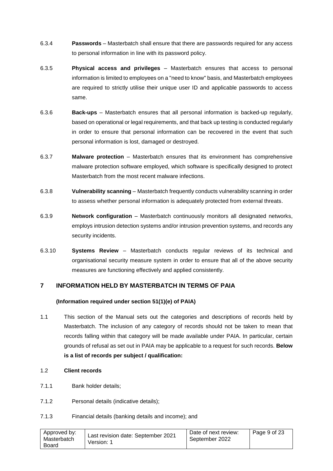- 6.3.4 **Passwords** Masterbatch shall ensure that there are passwords required for any access to personal information in line with its password policy.
- 6.3.5 **Physical access and privileges** Masterbatch ensures that access to personal information is limited to employees on a "need to know" basis, and Masterbatch employees are required to strictly utilise their unique user ID and applicable passwords to access same.
- 6.3.6 **Back-ups** Masterbatch ensures that all personal information is backed-up regularly, based on operational or legal requirements, and that back up testing is conducted regularly in order to ensure that personal information can be recovered in the event that such personal information is lost, damaged or destroyed.
- 6.3.7 **Malware protection** Masterbatch ensures that its environment has comprehensive malware protection software employed, which software is specifically designed to protect Masterbatch from the most recent malware infections.
- 6.3.8 **Vulnerability scanning** Masterbatch frequently conducts vulnerability scanning in order to assess whether personal information is adequately protected from external threats.
- 6.3.9 **Network configuration** Masterbatch continuously monitors all designated networks, employs intrusion detection systems and/or intrusion prevention systems, and records any security incidents.
- 6.3.10 **Systems Review** Masterbatch conducts regular reviews of its technical and organisational security measure system in order to ensure that all of the above security measures are functioning effectively and applied consistently.

# <span id="page-8-0"></span>**7 INFORMATION HELD BY MASTERBATCH IN TERMS OF PAIA**

# **(Information required under section 51(1)(e) of PAIA)**

- 1.1 This section of the Manual sets out the categories and descriptions of records held by Masterbatch. The inclusion of any category of records should not be taken to mean that records falling within that category will be made available under PAIA. In particular, certain grounds of refusal as set out in PAIA may be applicable to a request for such records. **Below is a list of records per subject / qualification:**
- 1.2 **Client records**
- 7.1.1 Bank holder details;
- 7.1.2 Personal details (indicative details);
- 7.1.3 Financial details (banking details and income); and

| Approved by:<br>Masterbatch<br>Board | Last revision date: September 2021<br>Version: 1 | Date of next review:<br>September 2022 | Page 9 of 23 |
|--------------------------------------|--------------------------------------------------|----------------------------------------|--------------|
|--------------------------------------|--------------------------------------------------|----------------------------------------|--------------|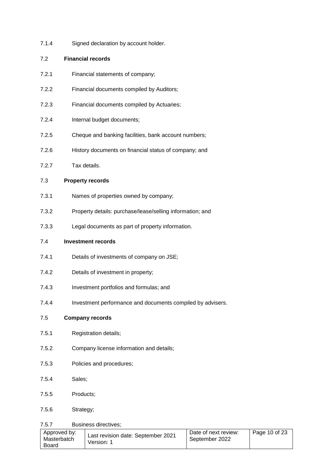7.1.4 Signed declaration by account holder.

#### 7.2 **Financial records**

- 7.2.1 Financial statements of company;
- 7.2.2 Financial documents compiled by Auditors;
- 7.2.3 Financial documents compiled by Actuaries;
- 7.2.4 Internal budget documents;
- 7.2.5 Cheque and banking facilities, bank account numbers;
- 7.2.6 History documents on financial status of company; and
- 7.2.7 Tax details.

#### 7.3 **Property records**

- 7.3.1 Names of properties owned by company;
- 7.3.2 Property details: purchase/lease/selling information; and
- 7.3.3 Legal documents as part of property information.

#### 7.4 **Investment records**

- 7.4.1 Details of investments of company on JSE;
- 7.4.2 Details of investment in property;
- 7.4.3 Investment portfolios and formulas; and
- 7.4.4 Investment performance and documents compiled by advisers.

#### 7.5 **Company records**

- 7.5.1 Registration details;
- 7.5.2 Company license information and details;
- 7.5.3 Policies and procedures;
- 7.5.4 Sales;
- 7.5.5 Products;
- 7.5.6 Strategy;

#### 7.5.7 Business directives;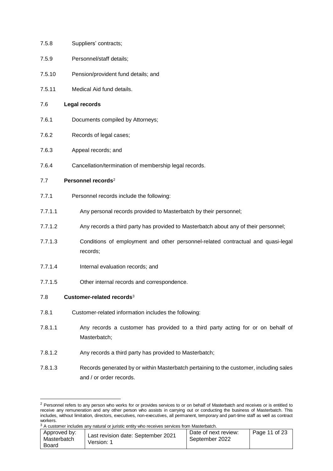- 7.5.8 Suppliers' contracts;
- 7.5.9 Personnel/staff details;
- 7.5.10 Pension/provident fund details; and
- 7.5.11 Medical Aid fund details.

#### 7.6 **Legal records**

- 7.6.1 Documents compiled by Attorneys;
- 7.6.2 Records of legal cases;
- 7.6.3 Appeal records; and
- 7.6.4 Cancellation/termination of membership legal records.

#### 7.7 **Personnel records**<sup>2</sup>

- 7.7.1 Personnel records include the following:
- 7.7.1.1 Any personal records provided to Masterbatch by their personnel;
- 7.7.1.2 Any records a third party has provided to Masterbatch about any of their personnel;
- 7.7.1.3 Conditions of employment and other personnel-related contractual and quasi-legal records;
- 7.7.1.4 Internal evaluation records; and
- 7.7.1.5 Other internal records and correspondence.

#### 7.8 **Customer-related records**<sup>3</sup>

**.** 

- 7.8.1 Customer-related information includes the following:
- 7.8.1.1 Any records a customer has provided to a third party acting for or on behalf of Masterbatch;
- 7.8.1.2 Any records a third party has provided to Masterbatch;
- 7.8.1.3 Records generated by or within Masterbatch pertaining to the customer, including sales and / or order records.

 $3$  A customer includes any natural or juristic entity who receives services from Masterbatch.

| Approved by:<br>Masterbatch<br>Board | Last revision date: September 2021<br>Version: 1 | Date of next review:<br>September 2022 | Page 11 of 23 |
|--------------------------------------|--------------------------------------------------|----------------------------------------|---------------|

<sup>&</sup>lt;sup>2</sup> Personnel refers to any person who works for or provides services to or on behalf of Masterbatch and receives or is entitled to receive any remuneration and any other person who assists in carrying out or conducting the business of Masterbatch. This includes, without limitation, directors, executives, non-executives, all permanent, temporary and part-time staff as well as contract workers.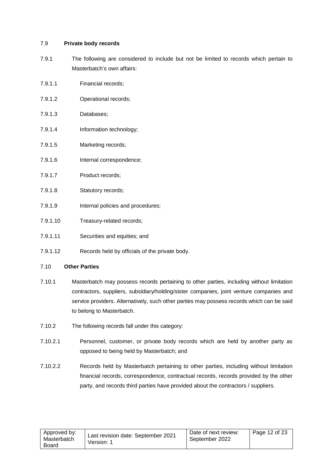#### 7.9 **Private body records**

- 7.9.1 The following are considered to include but not be limited to records which pertain to Masterbatch's own affairs:
- 7.9.1.1 Financial records;
- 7.9.1.2 Operational records;
- 7.9.1.3 Databases;
- 7.9.1.4 Information technology;
- 7.9.1.5 Marketing records;
- 7.9.1.6 Internal correspondence;
- 7.9.1.7 Product records;
- 7.9.1.8 Statutory records;
- 7.9.1.9 Internal policies and procedures;
- 7.9.1.10 Treasury-related records;
- 7.9.1.11 Securities and equities; and
- 7.9.1.12 Records held by officials of the private body.

#### 7.10 **Other Parties**

- 7.10.1 Masterbatch may possess records pertaining to other parties, including without limitation contractors, suppliers, subsidiary/holding/sister companies, joint venture companies and service providers. Alternatively, such other parties may possess records which can be said to belong to Masterbatch.
- 7.10.2 The following records fall under this category:
- 7.10.2.1 Personnel, customer, or private body records which are held by another party as opposed to being held by Masterbatch; and
- 7.10.2.2 Records held by Masterbatch pertaining to other parties, including without limitation financial records, correspondence, contractual records, records provided by the other party, and records third parties have provided about the contractors / suppliers.

| Approved by:<br>Masterbatch<br>Board | Last revision date: September 2021<br>Version: 1 | Date of next review:<br>September 2022 | l Page 12 of 23 |
|--------------------------------------|--------------------------------------------------|----------------------------------------|-----------------|
|--------------------------------------|--------------------------------------------------|----------------------------------------|-----------------|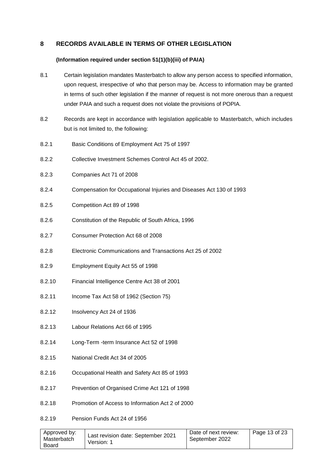# <span id="page-12-0"></span>**8 RECORDS AVAILABLE IN TERMS OF OTHER LEGISLATION**

#### **(Information required under section 51(1)(b)(iii) of PAIA)**

- 8.1 Certain legislation mandates Masterbatch to allow any person access to specified information, upon request, irrespective of who that person may be. Access to information may be granted in terms of such other legislation if the manner of request is not more onerous than a request under PAIA and such a request does not violate the provisions of POPIA.
- 8.2 Records are kept in accordance with legislation applicable to Masterbatch, which includes but is not limited to, the following:
- 8.2.1 Basic Conditions of Employment Act 75 of 1997
- 8.2.2 Collective Investment Schemes Control Act 45 of 2002.
- 8.2.3 Companies Act 71 of 2008
- 8.2.4 Compensation for Occupational Injuries and Diseases Act 130 of 1993
- 8.2.5 Competition Act 89 of 1998
- 8.2.6 Constitution of the Republic of South Africa, 1996
- 8.2.7 Consumer Protection Act 68 of 2008
- 8.2.8 Electronic Communications and Transactions Act 25 of 2002
- 8.2.9 Employment Equity Act 55 of 1998
- 8.2.10 Financial Intelligence Centre Act 38 of 2001
- 8.2.11 Income Tax Act 58 of 1962 (Section 75)
- 8.2.12 Insolvency Act 24 of 1936
- 8.2.13 Labour Relations Act 66 of 1995
- 8.2.14 Long-Term -term Insurance Act 52 of 1998
- 8.2.15 National Credit Act 34 of 2005
- 8.2.16 Occupational Health and Safety Act 85 of 1993
- 8.2.17 Prevention of Organised Crime Act 121 of 1998
- 8.2.18 Promotion of Access to Information Act 2 of 2000
- 8.2.19 Pension Funds Act 24 of 1956

| Version: 1<br>Board | Approved by:<br>Masterbatch | Last revision date: September 2021 | Date of next review:<br>September 2022 | Page 13 of $23$ |
|---------------------|-----------------------------|------------------------------------|----------------------------------------|-----------------|
|---------------------|-----------------------------|------------------------------------|----------------------------------------|-----------------|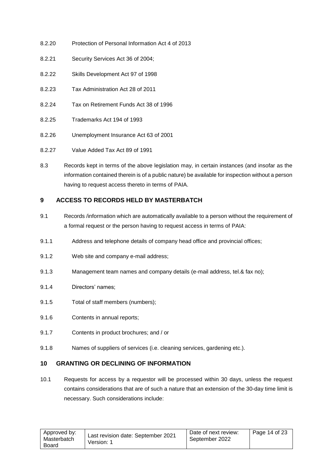- 8.2.20 Protection of Personal Information Act 4 of 2013
- 8.2.21 Security Services Act 36 of 2004;
- 8.2.22 Skills Development Act 97 of 1998
- 8.2.23 Tax Administration Act 28 of 2011
- 8.2.24 Tax on Retirement Funds Act 38 of 1996
- 8.2.25 Trademarks Act 194 of 1993
- 8.2.26 Unemployment Insurance Act 63 of 2001
- 8.2.27 Value Added Tax Act 89 of 1991
- 8.3 Records kept in terms of the above legislation may, in certain instances (and insofar as the information contained therein is of a public nature) be available for inspection without a person having to request access thereto in terms of PAIA.

# <span id="page-13-0"></span>**9 ACCESS TO RECORDS HELD BY MASTERBATCH**

- 9.1 Records /information which are automatically available to a person without the requirement of a formal request or the person having to request access in terms of PAIA:
- 9.1.1 Address and telephone details of company head office and provincial offices;
- 9.1.2 Web site and company e-mail address;
- 9.1.3 Management team names and company details (e-mail address, tel.& fax no);
- 9.1.4 Directors' names;
- 9.1.5 Total of staff members (numbers);
- 9.1.6 Contents in annual reports;
- 9.1.7 Contents in product brochures; and / or
- 9.1.8 Names of suppliers of services (i.e. cleaning services, gardening etc.).

#### <span id="page-13-1"></span>**10 GRANTING OR DECLINING OF INFORMATION**

<span id="page-13-2"></span>10.1 Requests for access by a requestor will be processed within 30 days, unless the request contains considerations that are of such a nature that an extension of the 30-day time limit is necessary. Such considerations include:

| Approved by:<br>Masterbatch<br>Board | Last revision date: September 2021<br>Version: 1 | Date of next review:<br>September 2022 | l Page 14 of 23 |
|--------------------------------------|--------------------------------------------------|----------------------------------------|-----------------|
|--------------------------------------|--------------------------------------------------|----------------------------------------|-----------------|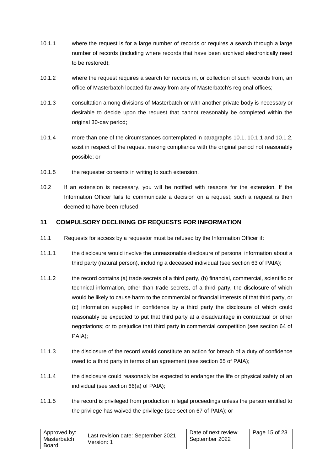- 10.1.1 where the request is for a large number of records or requires a search through a large number of records (including where records that have been archived electronically need to be restored);
- <span id="page-14-1"></span><span id="page-14-0"></span>10.1.2 where the request requires a search for records in, or collection of such records from, an office of Masterbatch located far away from any of Masterbatch's regional offices;
- 10.1.3 consultation among divisions of Masterbatch or with another private body is necessary or desirable to decide upon the request that cannot reasonably be completed within the original 30-day period:
- 10.1.4 more than one of the circumstances contemplated in paragraphs [10.1,](#page-13-2) [10.1.1](#page-14-0) and [10.1.2,](#page-14-1) exist in respect of the request making compliance with the original period not reasonably possible; or
- 10.1.5 the requester consents in writing to such extension.
- 10.2 If an extension is necessary, you will be notified with reasons for the extension. If the Information Officer fails to communicate a decision on a request, such a request is then deemed to have been refused.

# **11 COMPULSORY DECLINING OF REQUESTS FOR INFORMATION**

- 11.1 Requests for access by a requestor must be refused by the Information Officer if:
- 11.1.1 the disclosure would involve the unreasonable disclosure of personal information about a third party (natural person), including a deceased individual (see section 63 of PAIA);
- 11.1.2 the record contains (a) trade secrets of a third party, (b) financial, commercial, scientific or technical information, other than trade secrets, of a third party, the disclosure of which would be likely to cause harm to the commercial or financial interests of that third party, or (c) information supplied in confidence by a third party the disclosure of which could reasonably be expected to put that third party at a disadvantage in contractual or other negotiations; or to prejudice that third party in commercial competition (see section 64 of PAIA);
- 11.1.3 the disclosure of the record would constitute an action for breach of a duty of confidence owed to a third party in terms of an agreement (see section 65 of PAIA);
- 11.1.4 the disclosure could reasonably be expected to endanger the life or physical safety of an individual (see section 66(a) of PAIA);
- 11.1.5 the record is privileged from production in legal proceedings unless the person entitled to the privilege has waived the privilege (see section 67 of PAIA); or

| Approved by:<br>Masterbatch<br>Board | Last revision date: September 2021<br>Version: 1 | Date of next review:<br>September 2022 | Page 15 of 23 |
|--------------------------------------|--------------------------------------------------|----------------------------------------|---------------|
|--------------------------------------|--------------------------------------------------|----------------------------------------|---------------|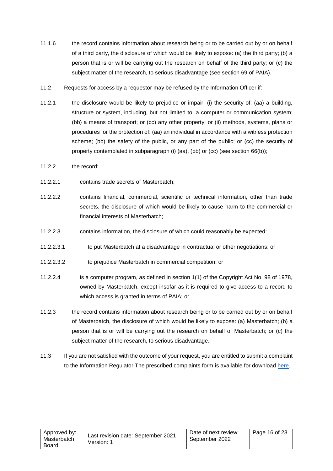- 11.1.6 the record contains information about research being or to be carried out by or on behalf of a third party, the disclosure of which would be likely to expose: (a) the third party; (b) a person that is or will be carrying out the research on behalf of the third party; or (c) the subject matter of the research, to serious disadvantage (see section 69 of PAIA).
- 11.2 Requests for access by a requestor may be refused by the Information Officer if:
- 11.2.1 the disclosure would be likely to prejudice or impair: (i) the security of: (aa) a building, structure or system, including, but not limited to, a computer or communication system; (bb) a means of transport; or (cc) any other property; or (ii) methods, systems, plans or procedures for the protection of: (aa) an individual in accordance with a witness protection scheme; (bb) the safety of the public, or any part of the public; or (cc) the security of property contemplated in subparagraph (i) (aa), (bb) or (cc) (see section 66(b));
- 11.2.2 the record:
- 11.2.2.1 contains trade secrets of Masterbatch;
- 11.2.2.2 contains financial, commercial, scientific or technical information, other than trade secrets, the disclosure of which would be likely to cause harm to the commercial or financial interests of Masterbatch;
- 11.2.2.3 contains information, the disclosure of which could reasonably be expected:
- 11.2.2.3.1 to put Masterbatch at a disadvantage in contractual or other negotiations; or
- 11.2.2.3.2 to prejudice Masterbatch in commercial competition; or
- 11.2.2.4 is a computer program, as defined in section 1(1) of the Copyright Act No. 98 of 1978, owned by Masterbatch, except insofar as it is required to give access to a record to which access is granted in terms of PAIA; or
- 11.2.3 the record contains information about research being or to be carried out by or on behalf of Masterbatch, the disclosure of which would be likely to expose: (a) Masterbatch; (b) a person that is or will be carrying out the research on behalf of Masterbatch; or (c) the subject matter of the research, to serious disadvantage.
- 11.3 If you are not satisfied with the outcome of your request, you are entitled to submit a complaint to the Information Regulator The prescribed complaints form is available for download [here.](https://www.justice.gov.za/inforeg/docs/forms/InfoRegSA-PAIA-Form05-Reg10.pdf)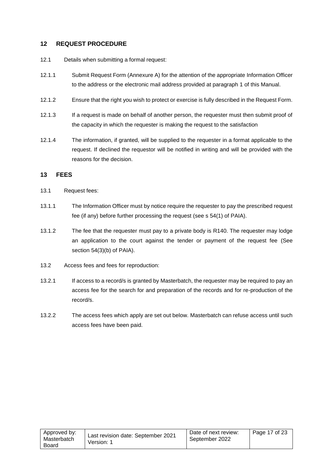# <span id="page-16-0"></span>**12 REQUEST PROCEDURE**

- 12.1 Details when submitting a formal request:
- 12.1.1 Submit Request Form (Annexure A) for the attention of the appropriate Information Officer to the address or the electronic mail address provided at paragraph [1](#page-2-0) of this Manual.
- 12.1.2 Ensure that the right you wish to protect or exercise is fully described in the Request Form.
- 12.1.3 If a request is made on behalf of another person, the requester must then submit proof of the capacity in which the requester is making the request to the satisfaction
- 12.1.4 The information, if granted, will be supplied to the requester in a format applicable to the request. If declined the requestor will be notified in writing and will be provided with the reasons for the decision.

#### <span id="page-16-1"></span>**13 FEES**

- 13.1 Request fees:
- 13.1.1 The Information Officer must by notice require the requester to pay the prescribed request fee (if any) before further processing the request (see s 54(1) of PAIA).
- 13.1.2 The fee that the requester must pay to a private body is R140. The requester may lodge an application to the court against the tender or payment of the request fee (See section 54(3)(b) of PAIA).
- 13.2 Access fees and fees for reproduction:
- 13.2.1 If access to a record/s is granted by Masterbatch, the requester may be required to pay an access fee for the search for and preparation of the records and for re-production of the record/s.
- 13.2.2 The access fees which apply are set out below. Masterbatch can refuse access until such access fees have been paid.

| Approved by: | Last revision date: September 2021 | Date of next review: | Page 17 of 23 |
|--------------|------------------------------------|----------------------|---------------|
| Masterbatch  | Version: 1                         | September 2022       |               |
| Board        |                                    |                      |               |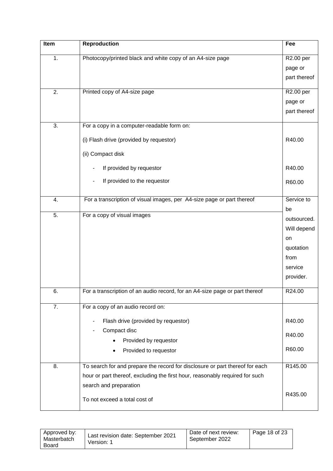| Item | <b>Reproduction</b>                                                          | Fee                  |
|------|------------------------------------------------------------------------------|----------------------|
| 1.   | Photocopy/printed black and white copy of an A4-size page                    | R2.00 per            |
|      |                                                                              | page or              |
|      |                                                                              | part thereof         |
| 2.   |                                                                              |                      |
|      | Printed copy of A4-size page                                                 | R2.00 per<br>page or |
|      |                                                                              | part thereof         |
|      |                                                                              |                      |
| 3.   | For a copy in a computer-readable form on:                                   |                      |
|      | (i) Flash drive (provided by requestor)                                      | R40.00               |
|      | (ii) Compact disk                                                            |                      |
|      |                                                                              |                      |
|      | If provided by requestor<br>$\overline{a}$                                   | R40.00               |
|      | If provided to the requestor                                                 | R60.00               |
|      |                                                                              |                      |
| 4.   | For a transcription of visual images, per A4-size page or part thereof       | Service to           |
| 5.   | For a copy of visual images                                                  | be<br>outsourced.    |
|      |                                                                              | Will depend          |
|      |                                                                              | on                   |
|      |                                                                              | quotation            |
|      |                                                                              | from                 |
|      |                                                                              | service              |
|      |                                                                              | provider.            |
| б.   | For a transcription of an audio record, for an A4-size page or part thereof  | R24.00               |
|      |                                                                              |                      |
| 7.   | For a copy of an audio record on:                                            |                      |
|      | Flash drive (provided by requestor)<br>$\overline{a}$                        | R40.00               |
|      | Compact disc                                                                 | R40.00               |
|      | Provided by requestor                                                        |                      |
|      | Provided to requestor                                                        | R60.00               |
| 8.   | To search for and prepare the record for disclosure or part thereof for each | R145.00              |
|      | hour or part thereof, excluding the first hour, reasonably required for such |                      |
|      | search and preparation                                                       |                      |
|      | To not exceed a total cost of                                                | R435.00              |
|      |                                                                              |                      |

| Approved by:<br>Masterbatch<br>Board | Last revision date: September 2021<br>Version: 1 | Date of next review:<br>September 2022 | Page 18 of $23$ |
|--------------------------------------|--------------------------------------------------|----------------------------------------|-----------------|
|--------------------------------------|--------------------------------------------------|----------------------------------------|-----------------|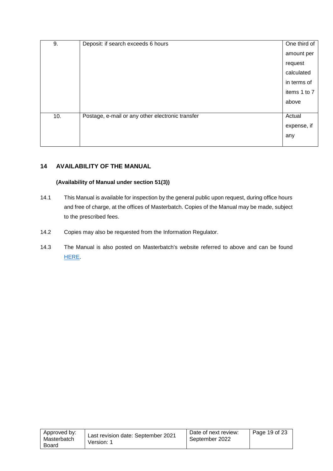| 9.  | Deposit: if search exceeds 6 hours               | One third of |
|-----|--------------------------------------------------|--------------|
|     |                                                  | amount per   |
|     |                                                  | request      |
|     |                                                  | calculated   |
|     |                                                  | in terms of  |
|     |                                                  | items 1 to 7 |
|     |                                                  | above        |
|     |                                                  |              |
| 10. | Postage, e-mail or any other electronic transfer | Actual       |
|     |                                                  | expense, if  |
|     |                                                  | any          |
|     |                                                  |              |

# <span id="page-18-0"></span>**14 AVAILABILITY OF THE MANUAL**

# **(Availability of Manual under section 51(3))**

- 14.1 This Manual is available for inspection by the general public upon request, during office hours and free of charge, at the offices of Masterbatch. Copies of the Manual may be made, subject to the prescribed fees.
- 14.2 Copies may also be requested from the Information Regulator.
- 14.3 The Manual is also posted on Masterbatch's website referred to above and can be found [HERE.](https://www.masterbatch.co.za/general-5)

| Approved by:<br>Masterbatch<br>Board | Last revision date: September 2021<br>Version: 1 | Date of next review:<br>September 2022 | l Page 19 of 23 |
|--------------------------------------|--------------------------------------------------|----------------------------------------|-----------------|
|--------------------------------------|--------------------------------------------------|----------------------------------------|-----------------|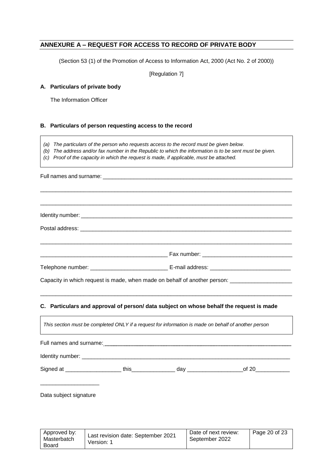# <span id="page-19-0"></span>**ANNEXURE A – REQUEST FOR ACCESS TO RECORD OF PRIVATE BODY**

(Section 53 (1) of the Promotion of Access to Information Act, 2000 (Act No. 2 of 2000))

[Regulation 7]

#### **A. Particulars of private body**

The Information Officer

#### **B. Particulars of person requesting access to the record**

- *(a) The particulars of the person who requests access to the record must be given below.*
- *(b) The address and/or fax number in the Republic to which the information is to be sent must be given.*
- *(c) Proof of the capacity in which the request is made, if applicable, must be attached.*

Full names and surname: \_\_\_\_\_\_\_\_\_\_\_\_\_\_\_\_\_\_\_\_\_\_\_\_\_\_\_\_\_\_\_\_\_\_\_\_\_\_\_\_\_\_\_\_\_\_\_\_\_\_\_\_\_\_\_\_\_\_\_\_\_ \_\_\_\_\_\_\_\_\_\_\_\_\_\_\_\_\_\_\_\_\_\_\_\_\_\_\_\_\_\_\_\_\_\_\_\_\_\_\_\_\_\_\_\_\_\_\_\_\_\_\_\_\_\_\_\_\_\_\_\_\_\_\_\_\_\_\_\_\_\_\_\_\_\_\_\_\_\_\_\_\_ \_\_\_\_\_\_\_\_\_\_\_\_\_\_\_\_\_\_\_\_\_\_\_\_\_\_\_\_\_\_\_\_\_\_\_\_\_\_\_\_\_\_\_\_\_\_\_\_\_\_\_\_\_\_\_\_\_\_\_\_\_\_\_\_\_\_\_\_\_\_\_\_\_\_\_\_\_\_\_\_\_ Identity number: \_\_\_\_\_\_\_\_\_\_\_\_\_\_\_\_\_\_\_\_\_\_\_\_\_\_\_\_\_\_\_\_\_\_\_\_\_\_\_\_\_\_\_\_\_\_\_\_\_\_\_\_\_\_\_\_\_\_\_\_\_\_\_\_\_\_\_\_ Postal address: \_\_\_\_\_\_\_\_\_\_\_\_\_\_\_\_\_\_\_\_\_\_\_\_\_\_\_\_\_\_\_\_\_\_\_\_\_\_\_\_\_\_\_\_\_\_\_\_\_\_\_\_\_\_\_\_\_\_\_\_\_\_\_\_\_\_\_\_ \_\_\_\_\_\_\_\_\_\_\_\_\_\_\_\_\_\_\_\_\_\_\_\_\_\_\_\_\_\_\_\_\_\_\_\_\_\_\_\_\_\_\_\_\_\_\_\_\_\_\_\_\_\_\_\_\_\_\_\_\_\_\_\_\_\_\_\_\_\_\_\_\_\_\_\_\_\_\_\_\_ \_\_\_\_\_\_\_\_\_\_\_\_\_\_\_\_\_\_\_\_\_\_\_\_\_\_\_\_\_\_\_\_\_\_\_\_\_\_\_\_\_ Fax number: \_\_\_\_\_\_\_\_\_\_\_\_\_\_\_\_\_\_\_\_\_\_\_\_\_\_\_\_\_ Telephone number: \_\_\_\_\_\_\_\_\_\_\_\_\_\_\_\_\_\_\_\_\_\_\_\_\_\_\_\_\_\_\_\_\_\_\_ E-mail address: \_\_\_\_\_\_\_\_\_\_\_\_\_\_\_\_\_\_\_\_\_\_\_\_\_\_\_\_\_ Capacity in which request is made, when made on behalf of another person: \_\_\_\_\_\_\_\_\_\_\_\_ \_\_\_\_\_\_\_\_\_\_\_\_\_\_\_\_\_\_\_\_\_\_\_\_\_\_\_\_\_\_\_\_\_\_\_\_\_\_\_\_\_\_\_\_\_\_\_\_\_\_\_\_\_\_\_\_\_\_\_\_\_\_\_\_\_\_\_\_\_\_\_\_\_\_\_\_\_\_\_\_\_

#### **C. Particulars and approval of person/ data subject on whose behalf the request is made**

| This section must be completed ONLY if a request for information is made on behalf of another person |  |                |
|------------------------------------------------------------------------------------------------------|--|----------------|
|                                                                                                      |  |                |
|                                                                                                      |  |                |
|                                                                                                      |  | of 20 $\qquad$ |

Data subject signature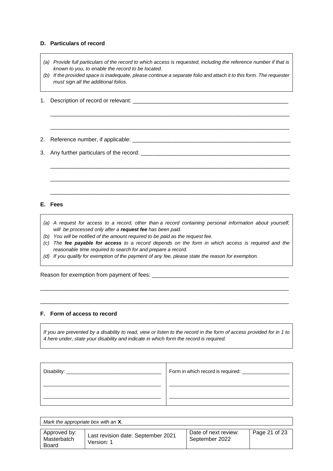#### **D. Particulars of record**

- *(a) Provide full particulars of the record to which access is requested, including the reference number if that is known to you, to enable the record to be located.*
- *(b) If the provided space is inadequate, please continue a separate folio and attach it to this form. The requester must sign all the additional folios*.

\_\_\_\_\_\_\_\_\_\_\_\_\_\_\_\_\_\_\_\_\_\_\_\_\_\_\_\_\_\_\_\_\_\_\_\_\_\_\_\_\_\_\_\_\_\_\_\_\_\_\_\_\_\_\_\_\_\_\_\_\_\_\_\_\_\_\_\_\_\_\_\_\_\_\_\_\_

\_\_\_\_\_\_\_\_\_\_\_\_\_\_\_\_\_\_\_\_\_\_\_\_\_\_\_\_\_\_\_\_\_\_\_\_\_\_\_\_\_\_\_\_\_\_\_\_\_\_\_\_\_\_\_\_\_\_\_\_\_\_\_\_\_\_\_\_\_\_\_\_\_\_\_\_\_

\_\_\_\_\_\_\_\_\_\_\_\_\_\_\_\_\_\_\_\_\_\_\_\_\_\_\_\_\_\_\_\_\_\_\_\_\_\_\_\_\_\_\_\_\_\_\_\_\_\_\_\_\_\_\_\_\_\_\_\_\_\_\_\_\_\_\_\_\_\_\_\_\_\_\_\_\_

\_\_\_\_\_\_\_\_\_\_\_\_\_\_\_\_\_\_\_\_\_\_\_\_\_\_\_\_\_\_\_\_\_\_\_\_\_\_\_\_\_\_\_\_\_\_\_\_\_\_\_\_\_\_\_\_\_\_\_\_\_\_\_\_\_\_\_\_\_\_\_\_\_\_\_\_\_

\_\_\_\_\_\_\_\_\_\_\_\_\_\_\_\_\_\_\_\_\_\_\_\_\_\_\_\_\_\_\_\_\_\_\_\_\_\_\_\_\_\_\_\_\_\_\_\_\_\_\_\_\_\_\_\_\_\_\_\_\_\_\_\_\_\_\_\_\_\_\_\_\_\_\_\_\_

- 1. Description of record or relevant:
- 2. Reference number, if applicable: \_\_\_\_\_\_\_\_\_\_\_\_\_\_\_\_\_\_\_\_\_\_\_\_\_\_\_\_\_\_\_\_\_\_\_\_\_\_\_\_\_\_\_\_\_\_\_\_\_\_\_
- 3. Any further particulars of the record:

#### **E. Fees**

- *(a) A request for access to a record, other than a record containing personal information about yourself, will be processed only after a request fee has been paid.*
- *(b) You will be notified of the amount required to be paid as the request fee.*
- (c) The fee payable for access to a record depends on the form in which access is required and the *reasonable time required to search for and prepare a record.*

\_\_\_\_\_\_\_\_\_\_\_\_\_\_\_\_\_\_\_\_\_\_\_\_\_\_\_\_\_\_\_\_\_\_\_\_\_\_\_\_\_\_\_\_\_\_\_\_\_\_\_\_\_\_\_\_\_\_\_\_\_\_\_\_\_\_\_\_\_\_\_\_\_\_\_\_\_\_\_\_

\_\_\_\_\_\_\_\_\_\_\_\_\_\_\_\_\_\_\_\_\_\_\_\_\_\_\_\_\_\_\_\_\_\_\_\_\_\_\_\_\_\_\_\_\_\_\_\_\_\_\_\_\_\_\_\_\_\_\_\_\_\_\_\_\_\_\_\_\_\_\_\_\_\_\_\_\_\_\_\_

*(d) If you qualify for exemption of the payment of any fee, please state the reason for exemption.*

Reason for exemption from payment of fees: \_\_\_\_\_\_\_\_\_\_\_\_\_\_\_\_\_\_\_\_\_\_\_\_\_\_\_\_\_\_\_\_\_\_\_\_\_\_\_\_\_\_\_\_

#### **F. Form of access to record**

If you are prevented by a disability to read, view or listen to the record in the form of access provided for in 1 to *4 here under, state your disability and indicate in which form the record is required.*

| Disability: | Form in which record is required: |
|-------------|-----------------------------------|
|             |                                   |
|             |                                   |

| Mark the appropriate box with an X.         |                                                  |                                        |               |  |  |
|---------------------------------------------|--------------------------------------------------|----------------------------------------|---------------|--|--|
| Approved by:<br>Masterbatch<br><b>Board</b> | Last revision date: September 2021<br>Version: 1 | Date of next review:<br>September 2022 | Page 21 of 23 |  |  |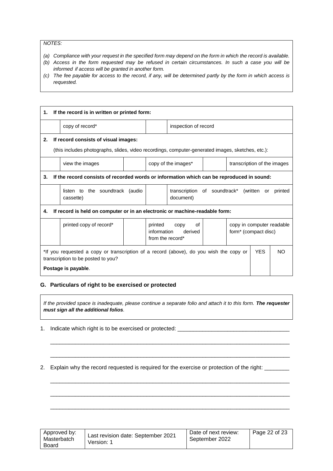*NOTES:*

- (a) Compliance with your request in the specified form may depend on the form in which the record is available.
- (b) Access in the form requested may be refused in certain circumstances. In such a case you will be *informed if access will be granted in another form.*
- (c) The fee payable for access to the record, if any, will be determined partly by the form in which access is *requested.*

| 1. | If the record is in written or printed form:                                                                                                                             |                                                 |  |                                            |                                                                     |                                                               |                             |  |  |
|----|--------------------------------------------------------------------------------------------------------------------------------------------------------------------------|-------------------------------------------------|--|--------------------------------------------|---------------------------------------------------------------------|---------------------------------------------------------------|-----------------------------|--|--|
|    |                                                                                                                                                                          | copy of record*                                 |  |                                            | inspection of record                                                |                                                               |                             |  |  |
| 2. | If record consists of visual images:                                                                                                                                     |                                                 |  |                                            |                                                                     |                                                               |                             |  |  |
|    | (this includes photographs, slides, video recordings, computer-generated images, sketches, etc.):                                                                        |                                                 |  |                                            |                                                                     |                                                               |                             |  |  |
|    |                                                                                                                                                                          | view the images                                 |  |                                            | copy of the images*                                                 |                                                               | transcription of the images |  |  |
| 3. | If the record consists of recorded words or information which can be reproduced in sound:                                                                                |                                                 |  |                                            |                                                                     |                                                               |                             |  |  |
|    |                                                                                                                                                                          | the soundtrack (audio<br>listen to<br>cassette) |  |                                            | transcription of soundtrack*<br>(written or<br>printed<br>document) |                                                               |                             |  |  |
| 4. | If record is held on computer or in an electronic or machine-readable form:                                                                                              |                                                 |  |                                            |                                                                     |                                                               |                             |  |  |
|    |                                                                                                                                                                          | printed copy of record*                         |  | printed<br>information<br>from the record* | of<br>copy<br>derived                                               | copy in computer readable<br>form <sup>*</sup> (compact disc) |                             |  |  |
|    | <b>YES</b><br>*If you requested a copy or transcription of a record (above), do you wish the copy or<br>NO.<br>transcription to be posted to you?<br>Postage is payable. |                                                 |  |                                            |                                                                     |                                                               |                             |  |  |

#### **G. Particulars of right to be exercised or protected**

*If the provided space is inadequate, please continue a separate folio and attach it to this form. The requester must sign all the additional folios.*

\_\_\_\_\_\_\_\_\_\_\_\_\_\_\_\_\_\_\_\_\_\_\_\_\_\_\_\_\_\_\_\_\_\_\_\_\_\_\_\_\_\_\_\_\_\_\_\_\_\_\_\_\_\_\_\_\_\_\_\_\_\_\_\_\_\_\_\_\_\_\_\_\_\_\_\_\_

\_\_\_\_\_\_\_\_\_\_\_\_\_\_\_\_\_\_\_\_\_\_\_\_\_\_\_\_\_\_\_\_\_\_\_\_\_\_\_\_\_\_\_\_\_\_\_\_\_\_\_\_\_\_\_\_\_\_\_\_\_\_\_\_\_\_\_\_\_\_\_\_\_\_\_\_\_

\_\_\_\_\_\_\_\_\_\_\_\_\_\_\_\_\_\_\_\_\_\_\_\_\_\_\_\_\_\_\_\_\_\_\_\_\_\_\_\_\_\_\_\_\_\_\_\_\_\_\_\_\_\_\_\_\_\_\_\_\_\_\_\_\_\_\_\_\_\_\_\_\_\_\_\_\_

\_\_\_\_\_\_\_\_\_\_\_\_\_\_\_\_\_\_\_\_\_\_\_\_\_\_\_\_\_\_\_\_\_\_\_\_\_\_\_\_\_\_\_\_\_\_\_\_\_\_\_\_\_\_\_\_\_\_\_\_\_\_\_\_\_\_\_\_\_\_\_\_\_\_\_\_\_

\_\_\_\_\_\_\_\_\_\_\_\_\_\_\_\_\_\_\_\_\_\_\_\_\_\_\_\_\_\_\_\_\_\_\_\_\_\_\_\_\_\_\_\_\_\_\_\_\_\_\_\_\_\_\_\_\_\_\_\_\_\_\_\_\_\_\_\_\_\_\_\_\_\_\_\_\_

1. Indicate which right is to be exercised or protected: \_\_\_\_\_\_\_\_\_\_\_\_\_\_\_\_\_\_\_\_\_\_\_\_\_\_\_\_\_\_\_\_\_\_\_\_

2. Explain why the record requested is required for the exercise or protection of the right: \_\_\_\_\_\_\_

| Approved by:<br>Masterbatch<br>Board | Last revision date: September 2021<br>Version: 1 | Date of next review:<br>September 2022 | Page 22 of 23 |
|--------------------------------------|--------------------------------------------------|----------------------------------------|---------------|
|--------------------------------------|--------------------------------------------------|----------------------------------------|---------------|